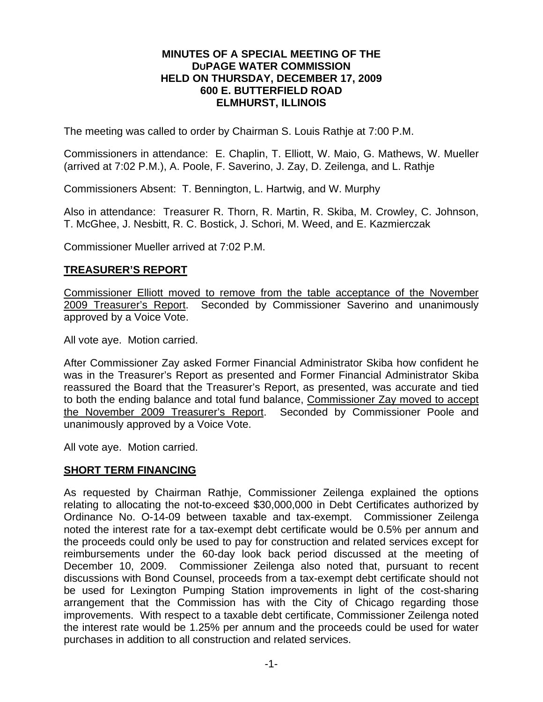### **MINUTES OF A SPECIAL MEETING OF THE DUPAGE WATER COMMISSION HELD ON THURSDAY, DECEMBER 17, 2009 600 E. BUTTERFIELD ROAD ELMHURST, ILLINOIS**

The meeting was called to order by Chairman S. Louis Rathje at 7:00 P.M.

Commissioners in attendance: E. Chaplin, T. Elliott, W. Maio, G. Mathews, W. Mueller (arrived at 7:02 P.M.), A. Poole, F. Saverino, J. Zay, D. Zeilenga, and L. Rathje

Commissioners Absent: T. Bennington, L. Hartwig, and W. Murphy

Also in attendance: Treasurer R. Thorn, R. Martin, R. Skiba, M. Crowley, C. Johnson, T. McGhee, J. Nesbitt, R. C. Bostick, J. Schori, M. Weed, and E. Kazmierczak

Commissioner Mueller arrived at 7:02 P.M.

# **TREASURER'S REPORT**

Commissioner Elliott moved to remove from the table acceptance of the November<br>2009 Treasurer's Report. Seconded by Commissioner Saverino and unanimously Seconded by Commissioner Saverino and unanimously approved by a Voice Vote.

All vote aye. Motion carried.

After Commissioner Zay asked Former Financial Administrator Skiba how confident he was in the Treasurer's Report as presented and Former Financial Administrator Skiba reassured the Board that the Treasurer's Report, as presented, was accurate and tied to both the ending balance and total fund balance, Commissioner Zay moved to accept the November 2009 Treasurer's Report. Seconded by Commissioner Poole and unanimously approved by a Voice Vote.

All vote aye. Motion carried.

## **SHORT TERM FINANCING**

As requested by Chairman Rathje, Commissioner Zeilenga explained the options relating to allocating the not-to-exceed \$30,000,000 in Debt Certificates authorized by Ordinance No. O-14-09 between taxable and tax-exempt. Commissioner Zeilenga noted the interest rate for a tax-exempt debt certificate would be 0.5% per annum and the proceeds could only be used to pay for construction and related services except for reimbursements under the 60-day look back period discussed at the meeting of December 10, 2009. Commissioner Zeilenga also noted that, pursuant to recent discussions with Bond Counsel, proceeds from a tax-exempt debt certificate should not be used for Lexington Pumping Station improvements in light of the cost-sharing arrangement that the Commission has with the City of Chicago regarding those improvements. With respect to a taxable debt certificate, Commissioner Zeilenga noted the interest rate would be 1.25% per annum and the proceeds could be used for water purchases in addition to all construction and related services.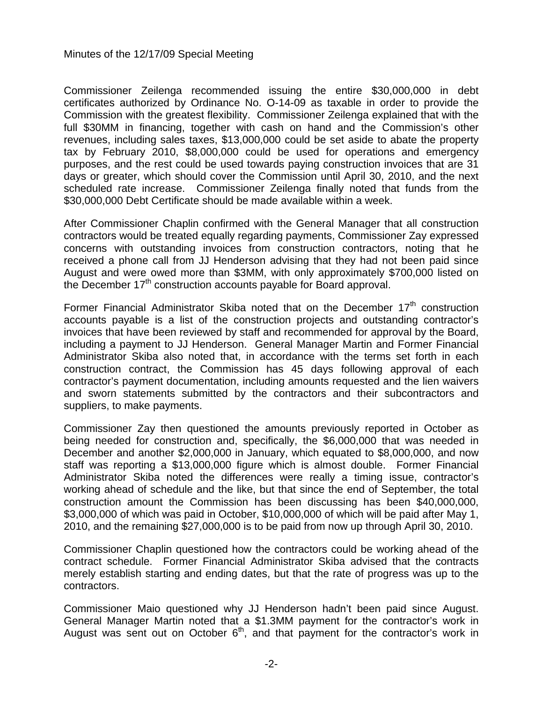Commissioner Zeilenga recommended issuing the entire \$30,000,000 in debt certificates authorized by Ordinance No. O-14-09 as taxable in order to provide the Commission with the greatest flexibility. Commissioner Zeilenga explained that with the full \$30MM in financing, together with cash on hand and the Commission's other revenues, including sales taxes, \$13,000,000 could be set aside to abate the property tax by February 2010, \$8,000,000 could be used for operations and emergency purposes, and the rest could be used towards paying construction invoices that are 31 days or greater, which should cover the Commission until April 30, 2010, and the next scheduled rate increase. Commissioner Zeilenga finally noted that funds from the \$30,000,000 Debt Certificate should be made available within a week.

After Commissioner Chaplin confirmed with the General Manager that all construction contractors would be treated equally regarding payments, Commissioner Zay expressed concerns with outstanding invoices from construction contractors, noting that he received a phone call from JJ Henderson advising that they had not been paid since August and were owed more than \$3MM, with only approximately \$700,000 listed on the December 17<sup>th</sup> construction accounts payable for Board approval.

Former Financial Administrator Skiba noted that on the December  $17<sup>th</sup>$  construction accounts payable is a list of the construction projects and outstanding contractor's invoices that have been reviewed by staff and recommended for approval by the Board, including a payment to JJ Henderson. General Manager Martin and Former Financial Administrator Skiba also noted that, in accordance with the terms set forth in each construction contract, the Commission has 45 days following approval of each contractor's payment documentation, including amounts requested and the lien waivers and sworn statements submitted by the contractors and their subcontractors and suppliers, to make payments.

Commissioner Zay then questioned the amounts previously reported in October as being needed for construction and, specifically, the \$6,000,000 that was needed in December and another \$2,000,000 in January, which equated to \$8,000,000, and now staff was reporting a \$13,000,000 figure which is almost double. Former Financial Administrator Skiba noted the differences were really a timing issue, contractor's working ahead of schedule and the like, but that since the end of September, the total construction amount the Commission has been discussing has been \$40,000,000, \$3,000,000 of which was paid in October, \$10,000,000 of which will be paid after May 1, 2010, and the remaining \$27,000,000 is to be paid from now up through April 30, 2010.

Commissioner Chaplin questioned how the contractors could be working ahead of the contract schedule. Former Financial Administrator Skiba advised that the contracts merely establish starting and ending dates, but that the rate of progress was up to the contractors.

Commissioner Maio questioned why JJ Henderson hadn't been paid since August. General Manager Martin noted that a \$1.3MM payment for the contractor's work in August was sent out on October  $6<sup>th</sup>$ , and that payment for the contractor's work in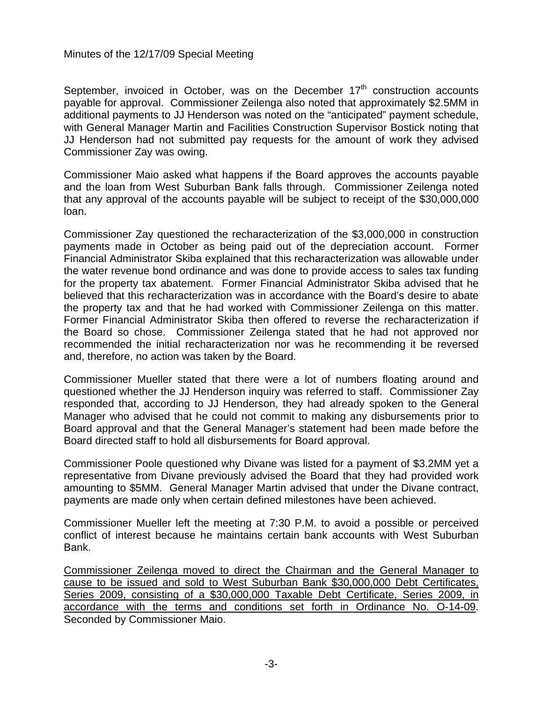September, invoiced in October, was on the December  $17<sup>th</sup>$  construction accounts payable for approval. Commissioner Zeilenga also noted that approximately \$2.5MM in additional payments to JJ Henderson was noted on the "anticipated" payment schedule, with General Manager Martin and Facilities Construction Supervisor Bostick noting that JJ Henderson had not submitted pay requests for the amount of work they advised Commissioner Zay was owing.

Commissioner Maio asked what happens if the Board approves the accounts payable and the loan from West Suburban Bank falls through. Commissioner Zeilenga noted that any approval of the accounts payable will be subject to receipt of the \$30,000,000 loan.

Commissioner Zay questioned the recharacterization of the \$3,000,000 in construction payments made in October as being paid out of the depreciation account. Former Financial Administrator Skiba explained that this recharacterization was allowable under the water revenue bond ordinance and was done to provide access to sales tax funding for the property tax abatement. Former Financial Administrator Skiba advised that he believed that this recharacterization was in accordance with the Board's desire to abate the property tax and that he had worked with Commissioner Zeilenga on this matter. Former Financial Administrator Skiba then offered to reverse the recharacterization if the Board so chose. Commissioner Zeilenga stated that he had not approved nor recommended the initial recharacterization nor was he recommending it be reversed and, therefore, no action was taken by the Board.

Commissioner Mueller stated that there were a lot of numbers floating around and questioned whether the JJ Henderson inquiry was referred to staff. Commissioner Zay responded that, according to JJ Henderson, they had already spoken to the General Manager who advised that he could not commit to making any disbursements prior to Board approval and that the General Manager's statement had been made before the Board directed staff to hold all disbursements for Board approval.

Commissioner Poole questioned why Divane was listed for a payment of \$3.2MM yet a representative from Divane previously advised the Board that they had provided work amounting to \$5MM. General Manager Martin advised that under the Divane contract, payments are made only when certain defined milestones have been achieved.

Commissioner Mueller left the meeting at 7:30 P.M. to avoid a possible or perceived conflict of interest because he maintains certain bank accounts with West Suburban Bank.

Commissioner Zeilenga moved to direct the Chairman and the General Manager to cause to be issued and sold to West Suburban Bank \$30,000,000 Debt Certificates, Series 2009, consisting of a \$30,000,000 Taxable Debt Certificate, Series 2009, in accordance with the terms and conditions set forth in Ordinance No. O-14-09. Seconded by Commissioner Maio.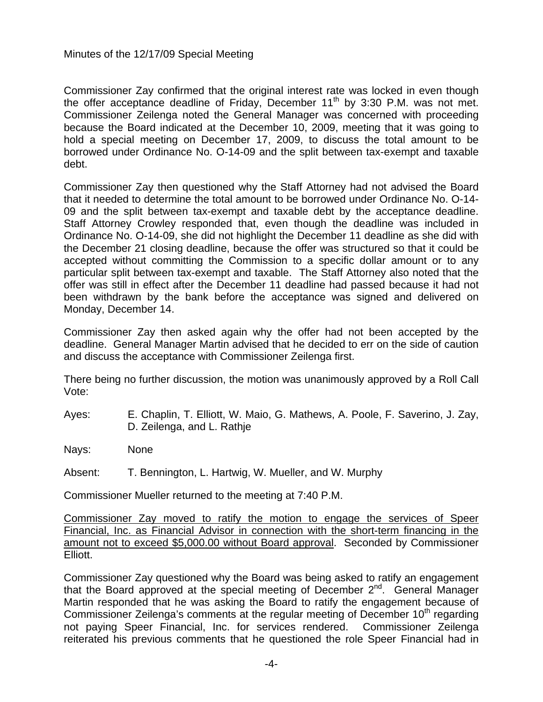Commissioner Zay confirmed that the original interest rate was locked in even though the offer acceptance deadline of Friday, December 11<sup>th</sup> by 3:30 P.M. was not met. Commissioner Zeilenga noted the General Manager was concerned with proceeding because the Board indicated at the December 10, 2009, meeting that it was going to hold a special meeting on December 17, 2009, to discuss the total amount to be borrowed under Ordinance No. O-14-09 and the split between tax-exempt and taxable debt.

Commissioner Zay then questioned why the Staff Attorney had not advised the Board that it needed to determine the total amount to be borrowed under Ordinance No. O-14- 09 and the split between tax-exempt and taxable debt by the acceptance deadline. Staff Attorney Crowley responded that, even though the deadline was included in Ordinance No. O-14-09, she did not highlight the December 11 deadline as she did with the December 21 closing deadline, because the offer was structured so that it could be accepted without committing the Commission to a specific dollar amount or to any particular split between tax-exempt and taxable. The Staff Attorney also noted that the offer was still in effect after the December 11 deadline had passed because it had not been withdrawn by the bank before the acceptance was signed and delivered on Monday, December 14.

Commissioner Zay then asked again why the offer had not been accepted by the deadline. General Manager Martin advised that he decided to err on the side of caution and discuss the acceptance with Commissioner Zeilenga first.

There being no further discussion, the motion was unanimously approved by a Roll Call Vote:

Ayes: E. Chaplin, T. Elliott, W. Maio, G. Mathews, A. Poole, F. Saverino, J. Zay, D. Zeilenga, and L. Rathje

Nays: None

Absent: T. Bennington, L. Hartwig, W. Mueller, and W. Murphy

Commissioner Mueller returned to the meeting at 7:40 P.M.

Commissioner Zay moved to ratify the motion to engage the services of Speer Financial, Inc. as Financial Advisor in connection with the short-term financing in the amount not to exceed \$5,000.00 without Board approval. Seconded by Commissioner Elliott.

Commissioner Zay questioned why the Board was being asked to ratify an engagement that the Board approved at the special meeting of December 2<sup>nd</sup>. General Manager Martin responded that he was asking the Board to ratify the engagement because of Commissioner Zeilenga's comments at the regular meeting of December 10<sup>th</sup> regarding not paying Speer Financial, Inc. for services rendered. Commissioner Zeilenga reiterated his previous comments that he questioned the role Speer Financial had in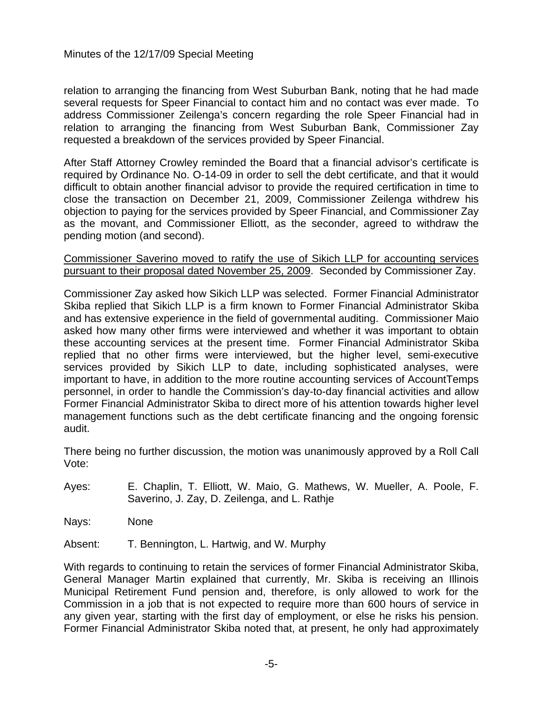relation to arranging the financing from West Suburban Bank, noting that he had made several requests for Speer Financial to contact him and no contact was ever made. To address Commissioner Zeilenga's concern regarding the role Speer Financial had in relation to arranging the financing from West Suburban Bank, Commissioner Zay requested a breakdown of the services provided by Speer Financial.

After Staff Attorney Crowley reminded the Board that a financial advisor's certificate is required by Ordinance No. O-14-09 in order to sell the debt certificate, and that it would difficult to obtain another financial advisor to provide the required certification in time to close the transaction on December 21, 2009, Commissioner Zeilenga withdrew his objection to paying for the services provided by Speer Financial, and Commissioner Zay as the movant, and Commissioner Elliott, as the seconder, agreed to withdraw the pending motion (and second).

Commissioner Saverino moved to ratify the use of Sikich LLP for accounting services pursuant to their proposal dated November 25, 2009. Seconded by Commissioner Zay.

Commissioner Zay asked how Sikich LLP was selected. Former Financial Administrator Skiba replied that Sikich LLP is a firm known to Former Financial Administrator Skiba and has extensive experience in the field of governmental auditing. Commissioner Maio asked how many other firms were interviewed and whether it was important to obtain these accounting services at the present time. Former Financial Administrator Skiba replied that no other firms were interviewed, but the higher level, semi-executive services provided by Sikich LLP to date, including sophisticated analyses, were important to have, in addition to the more routine accounting services of AccountTemps personnel, in order to handle the Commission's day-to-day financial activities and allow Former Financial Administrator Skiba to direct more of his attention towards higher level management functions such as the debt certificate financing and the ongoing forensic audit.

There being no further discussion, the motion was unanimously approved by a Roll Call Vote:

- Ayes: E. Chaplin, T. Elliott, W. Maio, G. Mathews, W. Mueller, A. Poole, F. Saverino, J. Zay, D. Zeilenga, and L. Rathje
- Nays: None

Absent: T. Bennington, L. Hartwig, and W. Murphy

With regards to continuing to retain the services of former Financial Administrator Skiba, General Manager Martin explained that currently, Mr. Skiba is receiving an Illinois Municipal Retirement Fund pension and, therefore, is only allowed to work for the Commission in a job that is not expected to require more than 600 hours of service in any given year, starting with the first day of employment, or else he risks his pension. Former Financial Administrator Skiba noted that, at present, he only had approximately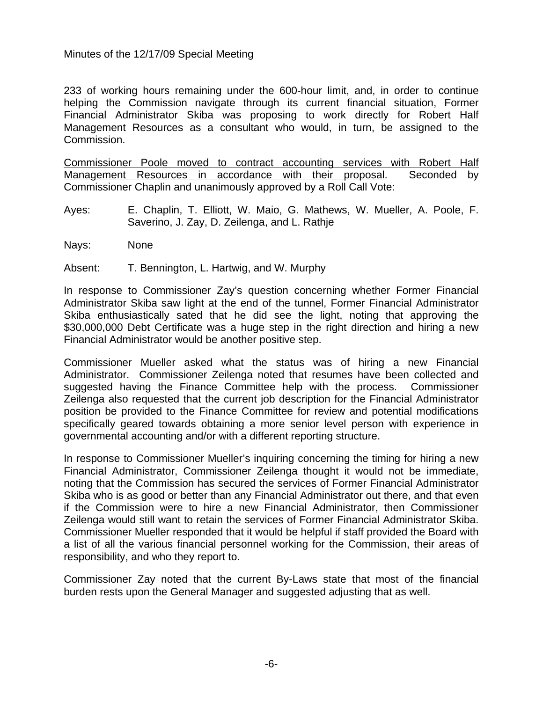233 of working hours remaining under the 600-hour limit, and, in order to continue helping the Commission navigate through its current financial situation, Former Financial Administrator Skiba was proposing to work directly for Robert Half Management Resources as a consultant who would, in turn, be assigned to the Commission.

Commissioner Poole moved to contract accounting services with Robert Half Management Resources in accordance with their proposal. Seconded by Commissioner Chaplin and unanimously approved by a Roll Call Vote:

- Ayes: E. Chaplin, T. Elliott, W. Maio, G. Mathews, W. Mueller, A. Poole, F. Saverino, J. Zay, D. Zeilenga, and L. Rathje
- Nays: None

Absent: T. Bennington, L. Hartwig, and W. Murphy

In response to Commissioner Zay's question concerning whether Former Financial Administrator Skiba saw light at the end of the tunnel, Former Financial Administrator Skiba enthusiastically sated that he did see the light, noting that approving the \$30,000,000 Debt Certificate was a huge step in the right direction and hiring a new Financial Administrator would be another positive step.

Commissioner Mueller asked what the status was of hiring a new Financial Administrator. Commissioner Zeilenga noted that resumes have been collected and suggested having the Finance Committee help with the process. Commissioner Zeilenga also requested that the current job description for the Financial Administrator position be provided to the Finance Committee for review and potential modifications specifically geared towards obtaining a more senior level person with experience in governmental accounting and/or with a different reporting structure.

In response to Commissioner Mueller's inquiring concerning the timing for hiring a new Financial Administrator, Commissioner Zeilenga thought it would not be immediate, noting that the Commission has secured the services of Former Financial Administrator Skiba who is as good or better than any Financial Administrator out there, and that even if the Commission were to hire a new Financial Administrator, then Commissioner Zeilenga would still want to retain the services of Former Financial Administrator Skiba. Commissioner Mueller responded that it would be helpful if staff provided the Board with a list of all the various financial personnel working for the Commission, their areas of responsibility, and who they report to.

Commissioner Zay noted that the current By-Laws state that most of the financial burden rests upon the General Manager and suggested adjusting that as well.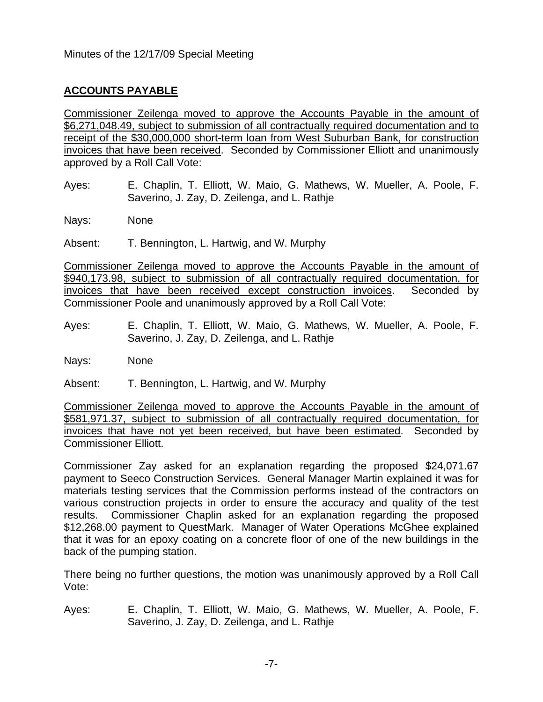# **ACCOUNTS PAYABLE**

Commissioner Zeilenga moved to approve the Accounts Payable in the amount of \$6,271,048.49, subject to submission of all contractually required documentation and to receipt of the \$30,000,000 short-term loan from West Suburban Bank, for construction invoices that have been received. Seconded by Commissioner Elliott and unanimously approved by a Roll Call Vote:

Ayes: E. Chaplin, T. Elliott, W. Maio, G. Mathews, W. Mueller, A. Poole, F. Saverino, J. Zay, D. Zeilenga, and L. Rathje

Nays: None

Absent: T. Bennington, L. Hartwig, and W. Murphy

Commissioner Zeilenga moved to approve the Accounts Payable in the amount of \$940,173.98, subject to submission of all contractually required documentation, for invoices that have been received except construction invoices. Seconded by Commissioner Poole and unanimously approved by a Roll Call Vote:

Ayes: E. Chaplin, T. Elliott, W. Maio, G. Mathews, W. Mueller, A. Poole, F. Saverino, J. Zay, D. Zeilenga, and L. Rathje

Nays: None

Absent: T. Bennington, L. Hartwig, and W. Murphy

Commissioner Zeilenga moved to approve the Accounts Payable in the amount of \$581,971.37, subject to submission of all contractually required documentation, for invoices that have not yet been received, but have been estimated. Seconded by Commissioner Elliott.

Commissioner Zay asked for an explanation regarding the proposed \$24,071.67 payment to Seeco Construction Services. General Manager Martin explained it was for materials testing services that the Commission performs instead of the contractors on various construction projects in order to ensure the accuracy and quality of the test results. Commissioner Chaplin asked for an explanation regarding the proposed \$12,268.00 payment to QuestMark. Manager of Water Operations McGhee explained that it was for an epoxy coating on a concrete floor of one of the new buildings in the back of the pumping station.

There being no further questions, the motion was unanimously approved by a Roll Call Vote:

Ayes: E. Chaplin, T. Elliott, W. Maio, G. Mathews, W. Mueller, A. Poole, F. Saverino, J. Zay, D. Zeilenga, and L. Rathje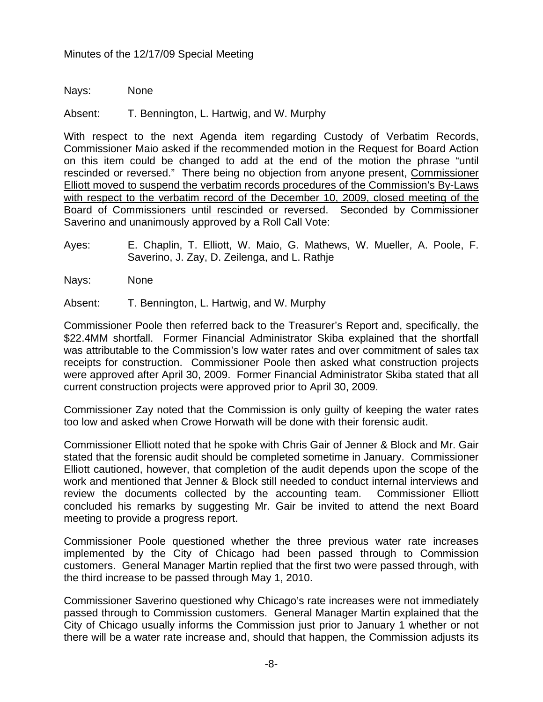Nays: None

Absent: T. Bennington, L. Hartwig, and W. Murphy

With respect to the next Agenda item regarding Custody of Verbatim Records, Commissioner Maio asked if the recommended motion in the Request for Board Action on this item could be changed to add at the end of the motion the phrase "until rescinded or reversed." There being no objection from anyone present, Commissioner Elliott moved to suspend the verbatim records procedures of the Commission's By-Laws with respect to the verbatim record of the December 10, 2009, closed meeting of the Board of Commissioners until rescinded or reversed. Seconded by Commissioner Saverino and unanimously approved by a Roll Call Vote:

- Ayes: E. Chaplin, T. Elliott, W. Maio, G. Mathews, W. Mueller, A. Poole, F. Saverino, J. Zay, D. Zeilenga, and L. Rathje
- Nays: None

Absent: T. Bennington, L. Hartwig, and W. Murphy

Commissioner Poole then referred back to the Treasurer's Report and, specifically, the \$22.4MM shortfall. Former Financial Administrator Skiba explained that the shortfall was attributable to the Commission's low water rates and over commitment of sales tax receipts for construction. Commissioner Poole then asked what construction projects were approved after April 30, 2009. Former Financial Administrator Skiba stated that all current construction projects were approved prior to April 30, 2009.

Commissioner Zay noted that the Commission is only guilty of keeping the water rates too low and asked when Crowe Horwath will be done with their forensic audit.

Commissioner Elliott noted that he spoke with Chris Gair of Jenner & Block and Mr. Gair stated that the forensic audit should be completed sometime in January. Commissioner Elliott cautioned, however, that completion of the audit depends upon the scope of the work and mentioned that Jenner & Block still needed to conduct internal interviews and review the documents collected by the accounting team. Commissioner Elliott concluded his remarks by suggesting Mr. Gair be invited to attend the next Board meeting to provide a progress report.

Commissioner Poole questioned whether the three previous water rate increases implemented by the City of Chicago had been passed through to Commission customers. General Manager Martin replied that the first two were passed through, with the third increase to be passed through May 1, 2010.

Commissioner Saverino questioned why Chicago's rate increases were not immediately passed through to Commission customers. General Manager Martin explained that the City of Chicago usually informs the Commission just prior to January 1 whether or not there will be a water rate increase and, should that happen, the Commission adjusts its